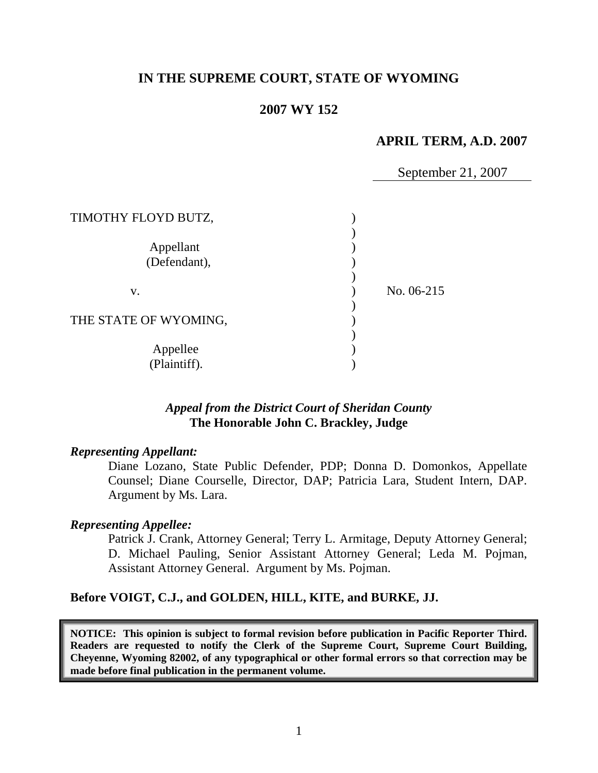# **IN THE SUPREME COURT, STATE OF WYOMING**

#### **2007 WY 152**

# **APRIL TERM, A.D. 2007**

September 21, 2007

| TIMOTHY FLOYD BUTZ,       |            |
|---------------------------|------------|
| Appellant<br>(Defendant), |            |
| V.                        | No. 06-215 |
| THE STATE OF WYOMING,     |            |
| Appellee<br>(Plaintiff).  |            |

## *Appeal from the District Court of Sheridan County* **The Honorable John C. Brackley, Judge**

#### *Representing Appellant:*

Diane Lozano, State Public Defender, PDP; Donna D. Domonkos, Appellate Counsel; Diane Courselle, Director, DAP; Patricia Lara, Student Intern, DAP. Argument by Ms. Lara.

#### *Representing Appellee:*

Patrick J. Crank, Attorney General; Terry L. Armitage, Deputy Attorney General; D. Michael Pauling, Senior Assistant Attorney General; Leda M. Pojman, Assistant Attorney General. Argument by Ms. Pojman.

### **Before VOIGT, C.J., and GOLDEN, HILL, KITE, and BURKE, JJ.**

**NOTICE: This opinion is subject to formal revision before publication in Pacific Reporter Third. Readers are requested to notify the Clerk of the Supreme Court, Supreme Court Building, Cheyenne, Wyoming 82002, of any typographical or other formal errors so that correction may be made before final publication in the permanent volume.**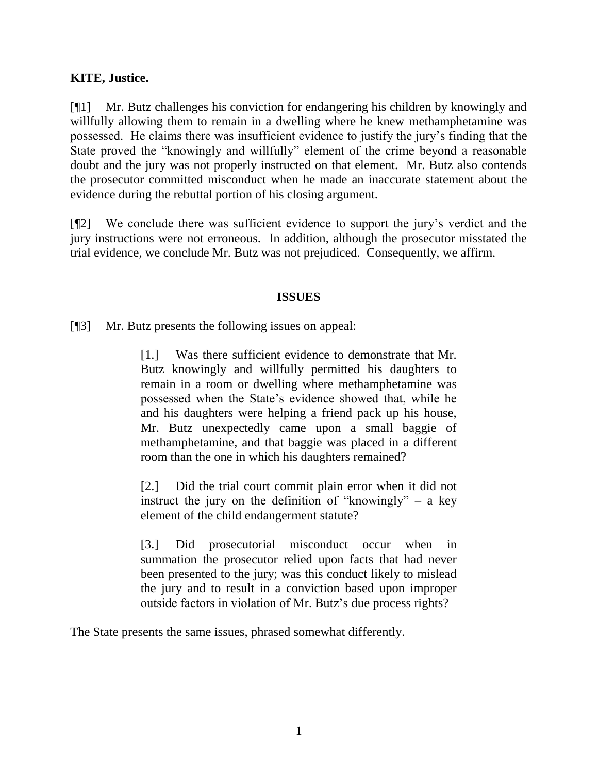## **KITE, Justice.**

[¶1] Mr. Butz challenges his conviction for endangering his children by knowingly and willfully allowing them to remain in a dwelling where he knew methamphetamine was possessed. He claims there was insufficient evidence to justify the jury"s finding that the State proved the "knowingly and willfully" element of the crime beyond a reasonable doubt and the jury was not properly instructed on that element. Mr. Butz also contends the prosecutor committed misconduct when he made an inaccurate statement about the evidence during the rebuttal portion of his closing argument.

[¶2] We conclude there was sufficient evidence to support the jury"s verdict and the jury instructions were not erroneous. In addition, although the prosecutor misstated the trial evidence, we conclude Mr. Butz was not prejudiced. Consequently, we affirm.

### **ISSUES**

[¶3] Mr. Butz presents the following issues on appeal:

[1.] Was there sufficient evidence to demonstrate that Mr. Butz knowingly and willfully permitted his daughters to remain in a room or dwelling where methamphetamine was possessed when the State"s evidence showed that, while he and his daughters were helping a friend pack up his house, Mr. Butz unexpectedly came upon a small baggie of methamphetamine, and that baggie was placed in a different room than the one in which his daughters remained?

[2.] Did the trial court commit plain error when it did not instruct the jury on the definition of "knowingly" – a key element of the child endangerment statute?

[3.] Did prosecutorial misconduct occur when in summation the prosecutor relied upon facts that had never been presented to the jury; was this conduct likely to mislead the jury and to result in a conviction based upon improper outside factors in violation of Mr. Butz"s due process rights?

The State presents the same issues, phrased somewhat differently.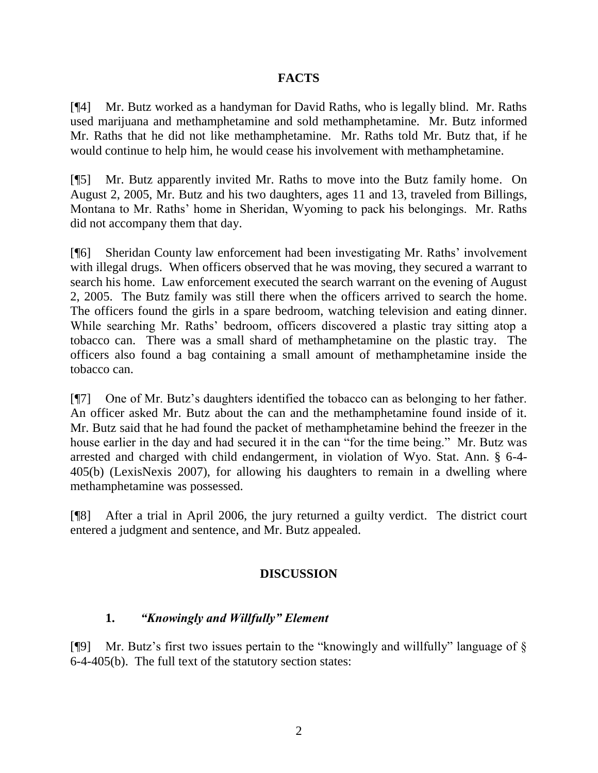## **FACTS**

[¶4] Mr. Butz worked as a handyman for David Raths, who is legally blind. Mr. Raths used marijuana and methamphetamine and sold methamphetamine. Mr. Butz informed Mr. Raths that he did not like methamphetamine. Mr. Raths told Mr. Butz that, if he would continue to help him, he would cease his involvement with methamphetamine.

[¶5] Mr. Butz apparently invited Mr. Raths to move into the Butz family home. On August 2, 2005, Mr. Butz and his two daughters, ages 11 and 13, traveled from Billings, Montana to Mr. Raths" home in Sheridan, Wyoming to pack his belongings. Mr. Raths did not accompany them that day.

[¶6] Sheridan County law enforcement had been investigating Mr. Raths" involvement with illegal drugs. When officers observed that he was moving, they secured a warrant to search his home. Law enforcement executed the search warrant on the evening of August 2, 2005. The Butz family was still there when the officers arrived to search the home. The officers found the girls in a spare bedroom, watching television and eating dinner. While searching Mr. Raths" bedroom, officers discovered a plastic tray sitting atop a tobacco can. There was a small shard of methamphetamine on the plastic tray. The officers also found a bag containing a small amount of methamphetamine inside the tobacco can.

[¶7] One of Mr. Butz"s daughters identified the tobacco can as belonging to her father. An officer asked Mr. Butz about the can and the methamphetamine found inside of it. Mr. Butz said that he had found the packet of methamphetamine behind the freezer in the house earlier in the day and had secured it in the can "for the time being." Mr. Butz was arrested and charged with child endangerment, in violation of Wyo. Stat. Ann. § 6-4- 405(b) (LexisNexis 2007), for allowing his daughters to remain in a dwelling where methamphetamine was possessed.

[¶8] After a trial in April 2006, the jury returned a guilty verdict. The district court entered a judgment and sentence, and Mr. Butz appealed.

# **DISCUSSION**

# **1.** *"Knowingly and Willfully" Element*

[ $[$ [9] Mr. Butz's first two issues pertain to the "knowingly and willfully" language of  $\S$ 6-4-405(b). The full text of the statutory section states: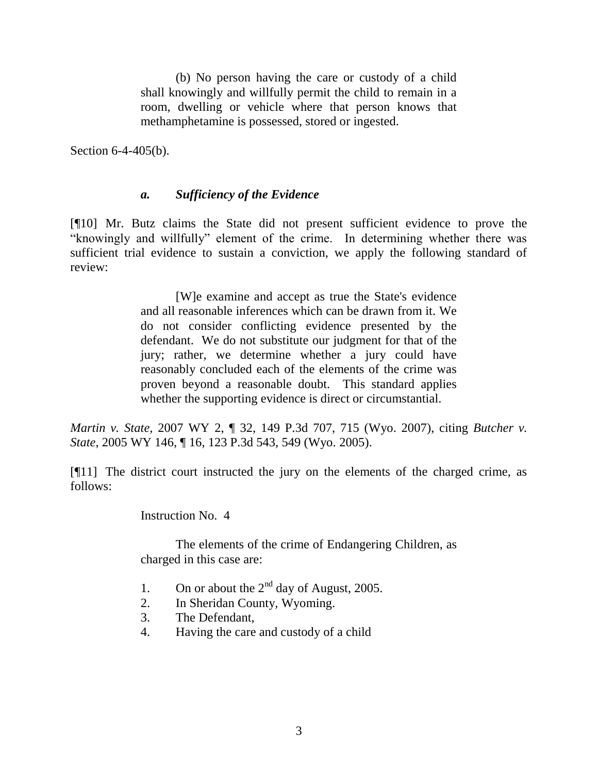(b) No person having the care or custody of a child shall knowingly and willfully permit the child to remain in a room, dwelling or vehicle where that person knows that methamphetamine is possessed, stored or ingested.

Section 6-4-405(b).

# *a. Sufficiency of the Evidence*

[¶10] Mr. Butz claims the State did not present sufficient evidence to prove the "knowingly and willfully" element of the crime. In determining whether there was sufficient trial evidence to sustain a conviction, we apply the following standard of review:

> [W]e examine and accept as true the State's evidence and all reasonable inferences which can be drawn from it. We do not consider conflicting evidence presented by the defendant. We do not substitute our judgment for that of the jury; rather, we determine whether a jury could have reasonably concluded each of the elements of the crime was proven beyond a reasonable doubt. This standard applies whether the supporting evidence is direct or circumstantial.

*Martin v. State,* 2007 WY 2, ¶ 32, 149 P.3d 707, 715 (Wyo. 2007), citing *Butcher v. State*, 2005 WY 146, ¶ 16, 123 P.3d 543, 549 (Wyo. 2005).

[¶11] The district court instructed the jury on the elements of the charged crime, as follows:

Instruction No. 4

The elements of the crime of Endangering Children, as charged in this case are:

- 1. On or about the  $2<sup>nd</sup>$  day of August, 2005.
- 2. In Sheridan County, Wyoming.
- 3. The Defendant,
- 4. Having the care and custody of a child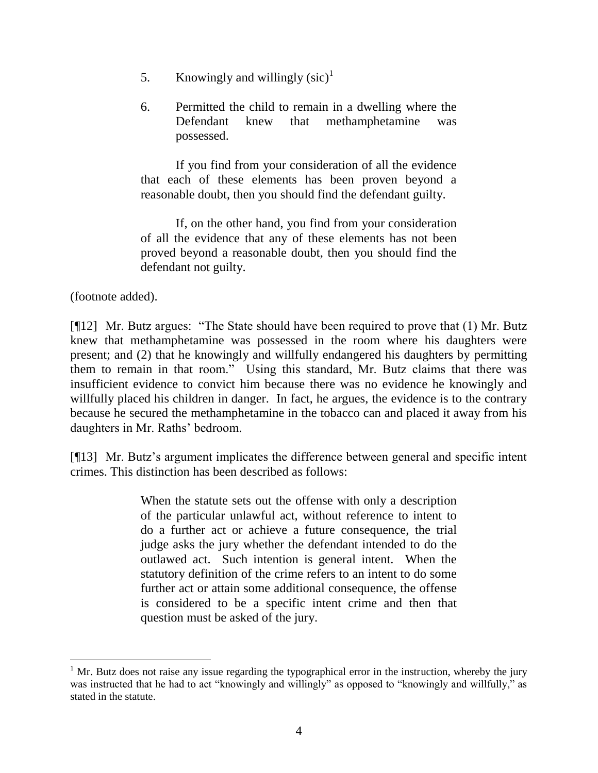- 5. Knowingly and willingly  $(sic)^1$
- 6. Permitted the child to remain in a dwelling where the Defendant knew that methamphetamine was possessed.

If you find from your consideration of all the evidence that each of these elements has been proven beyond a reasonable doubt, then you should find the defendant guilty.

If, on the other hand, you find from your consideration of all the evidence that any of these elements has not been proved beyond a reasonable doubt, then you should find the defendant not guilty.

(footnote added).

[¶12] Mr. Butz argues: "The State should have been required to prove that (1) Mr. Butz knew that methamphetamine was possessed in the room where his daughters were present; and (2) that he knowingly and willfully endangered his daughters by permitting them to remain in that room." Using this standard, Mr. Butz claims that there was insufficient evidence to convict him because there was no evidence he knowingly and willfully placed his children in danger. In fact, he argues, the evidence is to the contrary because he secured the methamphetamine in the tobacco can and placed it away from his daughters in Mr. Raths' bedroom.

[¶13] Mr. Butz"s argument implicates the difference between general and specific intent crimes. This distinction has been described as follows:

> When the statute sets out the offense with only a description of the particular unlawful act, without reference to intent to do a further act or achieve a future consequence, the trial judge asks the jury whether the defendant intended to do the outlawed act. Such intention is general intent. When the statutory definition of the crime refers to an intent to do some further act or attain some additional consequence, the offense is considered to be a specific intent crime and then that question must be asked of the jury.

 $1$  Mr. Butz does not raise any issue regarding the typographical error in the instruction, whereby the jury was instructed that he had to act "knowingly and willingly" as opposed to "knowingly and willfully," as stated in the statute.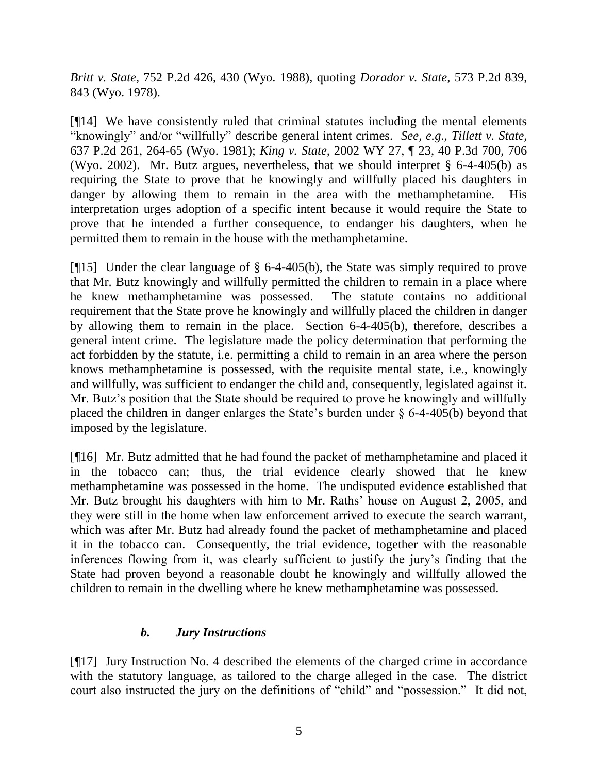*Britt v. State,* 752 P.2d 426, 430 (Wyo. 1988), quoting *Dorador v. State,* 573 P.2d 839, 843 (Wyo. 1978).

[¶14] We have consistently ruled that criminal statutes including the mental elements "knowingly" and/or "willfully" describe general intent crimes. *See, e.g*., *Tillett v. State,*  637 P.2d 261, 264-65 (Wyo. 1981); *King v. State,* 2002 WY 27, ¶ 23, 40 P.3d 700, 706 (Wyo. 2002). Mr. Butz argues, nevertheless, that we should interpret § 6-4-405(b) as requiring the State to prove that he knowingly and willfully placed his daughters in danger by allowing them to remain in the area with the methamphetamine. His interpretation urges adoption of a specific intent because it would require the State to prove that he intended a further consequence, to endanger his daughters, when he permitted them to remain in the house with the methamphetamine.

[¶15] Under the clear language of § 6-4-405(b), the State was simply required to prove that Mr. Butz knowingly and willfully permitted the children to remain in a place where he knew methamphetamine was possessed. The statute contains no additional requirement that the State prove he knowingly and willfully placed the children in danger by allowing them to remain in the place. Section 6-4-405(b), therefore, describes a general intent crime. The legislature made the policy determination that performing the act forbidden by the statute, i.e. permitting a child to remain in an area where the person knows methamphetamine is possessed, with the requisite mental state, i.e., knowingly and willfully, was sufficient to endanger the child and, consequently, legislated against it. Mr. Butz's position that the State should be required to prove he knowingly and willfully placed the children in danger enlarges the State"s burden under § 6-4-405(b) beyond that imposed by the legislature.

[¶16] Mr. Butz admitted that he had found the packet of methamphetamine and placed it in the tobacco can; thus, the trial evidence clearly showed that he knew methamphetamine was possessed in the home. The undisputed evidence established that Mr. Butz brought his daughters with him to Mr. Raths' house on August 2, 2005, and they were still in the home when law enforcement arrived to execute the search warrant, which was after Mr. Butz had already found the packet of methamphetamine and placed it in the tobacco can. Consequently, the trial evidence, together with the reasonable inferences flowing from it, was clearly sufficient to justify the jury"s finding that the State had proven beyond a reasonable doubt he knowingly and willfully allowed the children to remain in the dwelling where he knew methamphetamine was possessed.

# *b. Jury Instructions*

[¶17] Jury Instruction No. 4 described the elements of the charged crime in accordance with the statutory language, as tailored to the charge alleged in the case. The district court also instructed the jury on the definitions of "child" and "possession." It did not,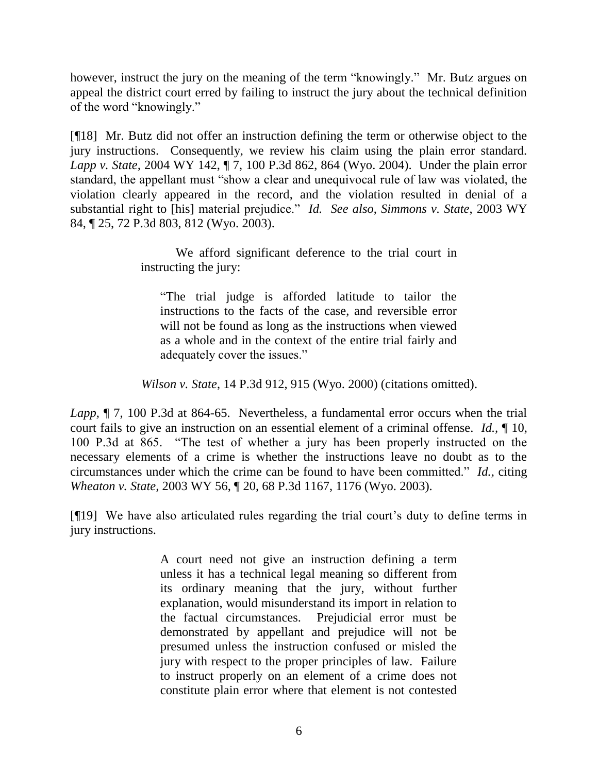however, instruct the jury on the meaning of the term "knowingly." Mr. Butz argues on appeal the district court erred by failing to instruct the jury about the technical definition of the word "knowingly."

[¶18] Mr. Butz did not offer an instruction defining the term or otherwise object to the jury instructions. Consequently, we review his claim using the plain error standard. *Lapp v. State,* 2004 WY 142, ¶ 7, 100 P.3d 862, 864 (Wyo. 2004). Under the plain error standard, the appellant must "show a clear and unequivocal rule of law was violated, the violation clearly appeared in the record, and the violation resulted in denial of a substantial right to [his] material prejudice." *Id. See also*, *Simmons v. State*, 2003 WY 84, ¶ 25, 72 P.3d 803, 812 (Wyo. 2003).

> We afford significant deference to the trial court in instructing the jury:

"The trial judge is afforded latitude to tailor the instructions to the facts of the case, and reversible error will not be found as long as the instructions when viewed as a whole and in the context of the entire trial fairly and adequately cover the issues."

*Wilson v. State*, 14 P.3d 912, 915 (Wyo. 2000) (citations omitted).

*Lapp,* ¶ 7, 100 P.3d at 864-65. Nevertheless, a fundamental error occurs when the trial court fails to give an instruction on an essential element of a criminal offense. *Id.,* ¶ 10, 100 P.3d at 865. "The test of whether a jury has been properly instructed on the necessary elements of a crime is whether the instructions leave no doubt as to the circumstances under which the crime can be found to have been committed." *Id.,* citing *Wheaton v. State,* 2003 WY 56, ¶ 20, 68 P.3d 1167, 1176 (Wyo. 2003).

[¶19] We have also articulated rules regarding the trial court"s duty to define terms in jury instructions.

> A court need not give an instruction defining a term unless it has a technical legal meaning so different from its ordinary meaning that the jury, without further explanation, would misunderstand its import in relation to the factual circumstances. Prejudicial error must be demonstrated by appellant and prejudice will not be presumed unless the instruction confused or misled the jury with respect to the proper principles of law. Failure to instruct properly on an element of a crime does not constitute plain error where that element is not contested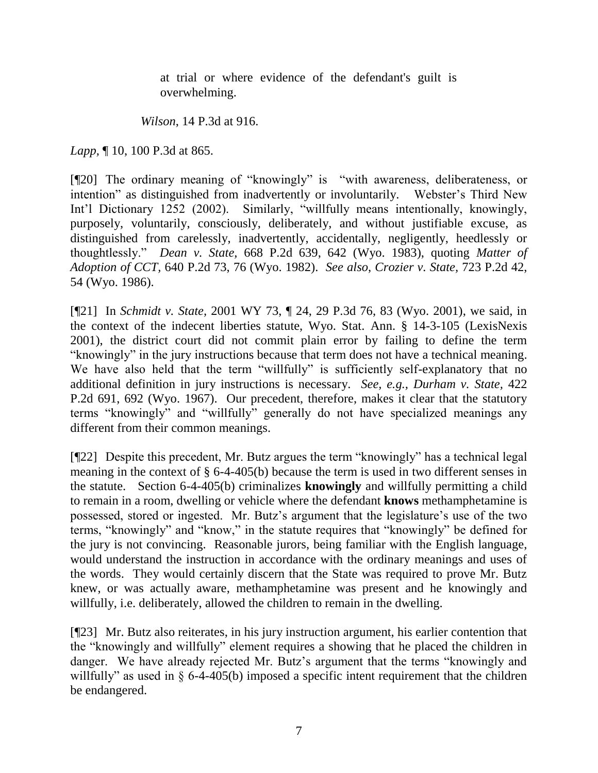at trial or where evidence of the defendant's guilt is overwhelming.

*Wilson*, 14 P.3d at 916.

*Lapp,* ¶ 10, 100 P.3d at 865.

[¶20] The ordinary meaning of "knowingly" is "with awareness, deliberateness, or intention" as distinguished from inadvertently or involuntarily. Webster's Third New Int'l Dictionary 1252 (2002). Similarly, "willfully means intentionally, knowingly, purposely, voluntarily, consciously, deliberately, and without justifiable excuse, as distinguished from carelessly, inadvertently, accidentally, negligently, heedlessly or thoughtlessly." *Dean v. State,* 668 P.2d 639, 642 (Wyo. 1983), quoting *Matter of Adoption of CCT,* 640 P.2d 73, 76 (Wyo. 1982). *See also*, *Crozier v. State,* 723 P.2d 42, 54 (Wyo. 1986).

[¶21] In *Schmidt v. State,* 2001 WY 73, ¶ 24, 29 P.3d 76, 83 (Wyo. 2001), we said, in the context of the indecent liberties statute, Wyo. Stat. Ann. § 14-3-105 (LexisNexis 2001), the district court did not commit plain error by failing to define the term "knowingly" in the jury instructions because that term does not have a technical meaning. We have also held that the term "willfully" is sufficiently self-explanatory that no additional definition in jury instructions is necessary. *See, e.g., Durham v. State,* 422 P.2d 691, 692 (Wyo. 1967). Our precedent, therefore, makes it clear that the statutory terms "knowingly" and "willfully" generally do not have specialized meanings any different from their common meanings.

[¶22] Despite this precedent, Mr. Butz argues the term "knowingly" has a technical legal meaning in the context of § 6-4-405(b) because the term is used in two different senses in the statute. Section 6-4-405(b) criminalizes **knowingly** and willfully permitting a child to remain in a room, dwelling or vehicle where the defendant **knows** methamphetamine is possessed, stored or ingested. Mr. Butz"s argument that the legislature"s use of the two terms, "knowingly" and "know," in the statute requires that "knowingly" be defined for the jury is not convincing. Reasonable jurors, being familiar with the English language, would understand the instruction in accordance with the ordinary meanings and uses of the words. They would certainly discern that the State was required to prove Mr. Butz knew, or was actually aware, methamphetamine was present and he knowingly and willfully, i.e. deliberately, allowed the children to remain in the dwelling.

[¶23] Mr. Butz also reiterates, in his jury instruction argument, his earlier contention that the "knowingly and willfully" element requires a showing that he placed the children in danger. We have already rejected Mr. Butz's argument that the terms "knowingly and willfully" as used in § 6-4-405(b) imposed a specific intent requirement that the children be endangered.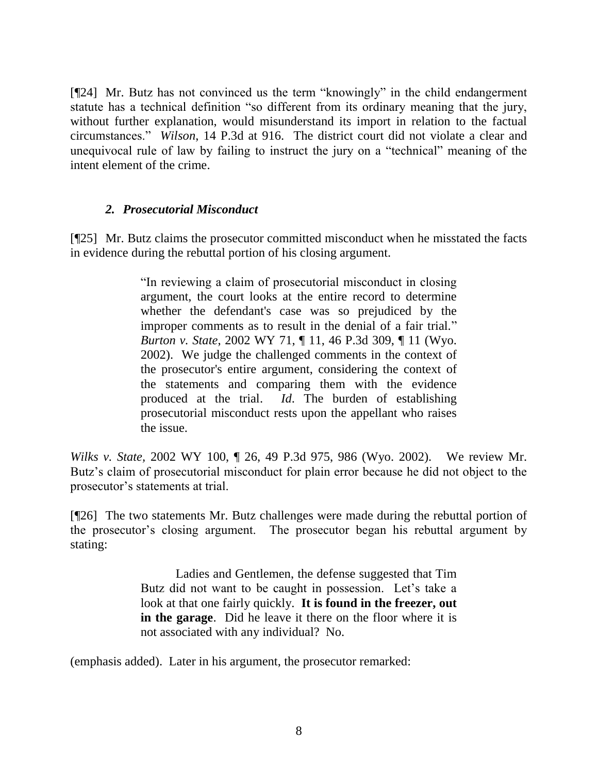[¶24] Mr. Butz has not convinced us the term "knowingly" in the child endangerment statute has a technical definition "so different from its ordinary meaning that the jury, without further explanation, would misunderstand its import in relation to the factual circumstances." *Wilson*, 14 P.3d at 916. The district court did not violate a clear and unequivocal rule of law by failing to instruct the jury on a "technical" meaning of the intent element of the crime.

### *2. Prosecutorial Misconduct*

[¶25] Mr. Butz claims the prosecutor committed misconduct when he misstated the facts in evidence during the rebuttal portion of his closing argument.

> "In reviewing a claim of prosecutorial misconduct in closing argument, the court looks at the entire record to determine whether the defendant's case was so prejudiced by the improper comments as to result in the denial of a fair trial." *Burton v. State*, 2002 WY 71, ¶ 11, 46 P.3d 309, ¶ 11 (Wyo. 2002). We judge the challenged comments in the context of the prosecutor's entire argument, considering the context of the statements and comparing them with the evidence produced at the trial. *Id*. The burden of establishing prosecutorial misconduct rests upon the appellant who raises the issue.

*Wilks v. State,* 2002 WY 100, ¶ 26, 49 P.3d 975, 986 (Wyo. 2002). We review Mr. Butz"s claim of prosecutorial misconduct for plain error because he did not object to the prosecutor"s statements at trial.

[¶26] The two statements Mr. Butz challenges were made during the rebuttal portion of the prosecutor"s closing argument. The prosecutor began his rebuttal argument by stating:

> Ladies and Gentlemen, the defense suggested that Tim Butz did not want to be caught in possession. Let's take a look at that one fairly quickly. **It is found in the freezer, out in the garage**. Did he leave it there on the floor where it is not associated with any individual? No.

(emphasis added). Later in his argument, the prosecutor remarked: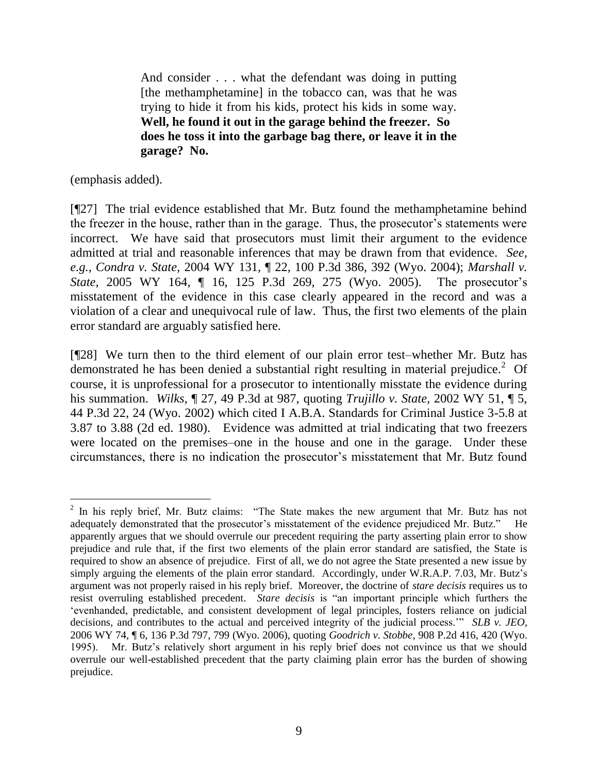And consider . . . what the defendant was doing in putting [the methamphetamine] in the tobacco can, was that he was trying to hide it from his kids, protect his kids in some way. **Well, he found it out in the garage behind the freezer. So does he toss it into the garbage bag there, or leave it in the garage? No.**

(emphasis added).

[¶27] The trial evidence established that Mr. Butz found the methamphetamine behind the freezer in the house, rather than in the garage. Thus, the prosecutor's statements were incorrect. We have said that prosecutors must limit their argument to the evidence admitted at trial and reasonable inferences that may be drawn from that evidence. *See, e.g.*, *Condra v. State,* 2004 WY 131, ¶ 22, 100 P.3d 386, 392 (Wyo. 2004); *Marshall v. State*, 2005 WY 164, *[*16, 125 P.3d 269, 275 (Wyo. 2005). The prosecutor's misstatement of the evidence in this case clearly appeared in the record and was a violation of a clear and unequivocal rule of law. Thus, the first two elements of the plain error standard are arguably satisfied here.

[¶28] We turn then to the third element of our plain error test–whether Mr. Butz has demonstrated he has been denied a substantial right resulting in material prejudice.<sup>2</sup> Of course, it is unprofessional for a prosecutor to intentionally misstate the evidence during his summation. *Wilks,* ¶ 27, 49 P.3d at 987, quoting *Trujillo v. State,* 2002 WY 51, ¶ 5, 44 P.3d 22, 24 (Wyo. 2002) which cited I A.B.A. Standards for Criminal Justice 3-5.8 at 3.87 to 3.88 (2d ed. 1980). Evidence was admitted at trial indicating that two freezers were located on the premises–one in the house and one in the garage. Under these circumstances, there is no indication the prosecutor's misstatement that Mr. Butz found

 $\overline{a}$  $2$  In his reply brief, Mr. Butz claims: "The State makes the new argument that Mr. Butz has not adequately demonstrated that the prosecutor's misstatement of the evidence prejudiced Mr. Butz." apparently argues that we should overrule our precedent requiring the party asserting plain error to show prejudice and rule that, if the first two elements of the plain error standard are satisfied, the State is required to show an absence of prejudice. First of all, we do not agree the State presented a new issue by simply arguing the elements of the plain error standard. Accordingly, under W.R.A.P. 7.03, Mr. Butz's argument was not properly raised in his reply brief. Moreover, the doctrine of *stare decisis* requires us to resist overruling established precedent. *Stare decisis* is "an important principle which furthers the "evenhanded, predictable, and consistent development of legal principles, fosters reliance on judicial decisions, and contributes to the actual and perceived integrity of the judicial process."" *SLB v. JEO,*  2006 WY 74, ¶ 6, 136 P.3d 797, 799 (Wyo. 2006), quoting *Goodrich v. Stobbe*, 908 P.2d 416, 420 (Wyo. 1995). Mr. Butz"s relatively short argument in his reply brief does not convince us that we should overrule our well-established precedent that the party claiming plain error has the burden of showing prejudice.